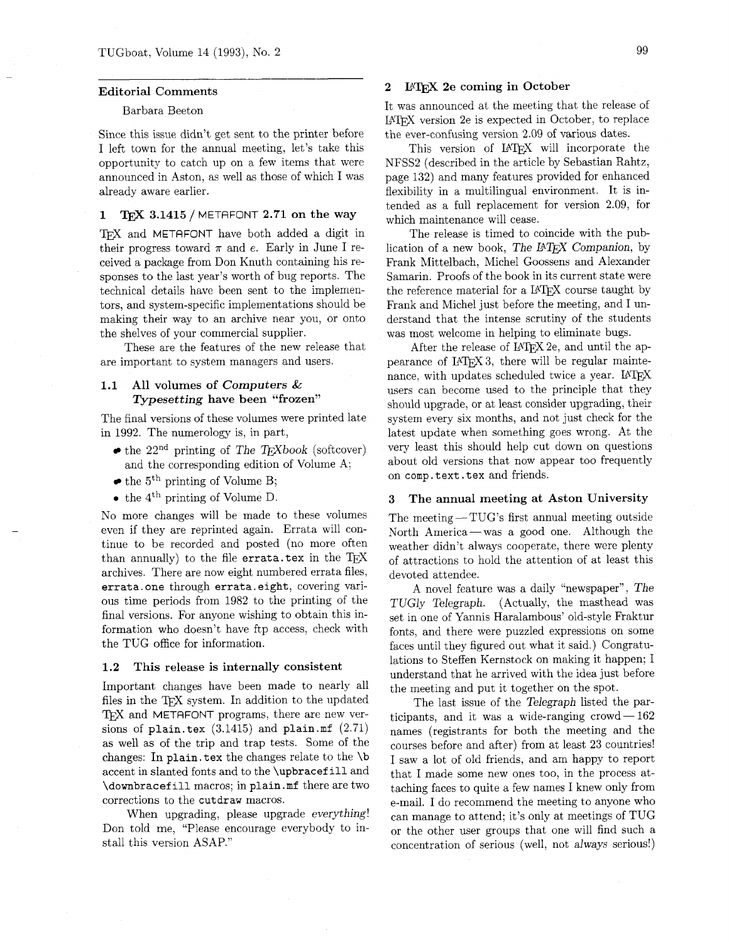#### Editorial Comments

## Barbara Beeton

Since this issue didn't get sent to the printer before I left town for the annual meeting, let's take this opportunity to catch up on a few items that were announced in Aston, as well as those of which I was already aware earlier.

#### 1 TFX  $3.1415$  / METAFONT 2.71 on the way

TFX and METAFONT have both added a digit in their progress toward  $\pi$  and e. Early in June I received a package from Don Knuth containing his responses to the last year's worth of bug reports. The technical details have been sent to the implementors, and system-specific implementations should be making their way to an archive near you, or onto the shelves of your commercial supplier.

These are the features of the new release that are important to system managers and users.

# 1.1 All volumes of Computers & Typesetting have been "frozen"

The final versions of these volumes were printed late in 1992. The numerology is, in part,

- $\bullet$  the 22<sup>nd</sup> printing of *The T<sub>F</sub>Xbook* (softcover) and the corresponding edition of Volume A;
- $\bullet$  the 5<sup>th</sup> printing of Volume B;
- $\bullet$  the 4<sup>th</sup> printing of Volume D.

No more changes will be made to these volumes even if they are reprinted again. Errata will continue to be recorded and posted (no more often than annually) to the file errata. tex in the  $T_F X$ archives. There are now eight numbered errata files, errata. one through errata. eight, covering various time periods from 1982 to the printing of the final versions. For anyone wishing to obtain this information who doesn't have ftp access, check with the TUG office for information.

#### 1.2 This release is internally consistent

Important changes have been made to nearly all files in the TFX system. In addition to the updated TFX and METAFONT programs, there are new versions of plain. tex  $(3.1415)$  and plain. mf  $(2.71)$ as well as of the trip and trap tests. Some of the changes: In plain. tex the changes relate to the \b accent in slanted fonts and to the \upbracef ill and \downbracef ill macros; in plain .mf there are two corrections to the cutdraw macros.

When upgrading, please upgrade everything! Don told me, "Please encourage everybody to install this version ASAP."

## 2 IMFX 2e coming in October

It was announced at the meeting that the release of LA' version 2e is expected in October, to replace the ever-confusing version 2.09 of various dates.

This version of LATFX will incorporate the NFSS2 (described in the article by Sebastian Rahtz, page 132) and many features provided for enhanced flexibility in a multilingual environment. It is intended as a full replacement for version 2.09, for which maintenance will cease.

The release is timed to coincide with the publication of a new book, The IATFX Companion, by Frank Mittelbach, Michel Goossens and Alexander Samarin. Proofs of the book in its current state were the reference material for a LAT<sub>F</sub>X course taught by Frank and Michel just before the meeting, and I understand that the intense scrutiny of the students was most welcome in helping to eliminate bugs.

After the release of LATEX 2e, and until the appearance of LAT<sub>F</sub>X 3, there will be regular maintenance, with updates scheduled twice a year. IATEX users can become used to the principle that they should upgrade, or at least consider upgrading, their system every six months, and not just check for the latest update when something goes wrong. At the very least this should help cut down on questions about old versions that now appear too frequently on comp. text. tex and friends.

## **3** The annual meeting at Aston University

The meeting  $-$  TUG's first annual meeting outside North America-was a good one. Although the weather didn't always cooperate. there were plenty of attractions to hold the attention of at least this devoted attendee.

A novel feature was a daily "newspaper", The TUGly Telegraph. (Actually, the masthead was set in one of Yannis Haralambous' old-style Fraktur fonts, and there were puzzled expressions on some faces until they figured out what it said.) Congratulations to Steffen Kernstock on making it happen; I understand that he arrived with the idea just before the meeting and put it together on the spot.

The last issue of the Telegraph listed the par-<br>ticipants, and it was a wide-ranging crowd – 162<br>ticipants (or hother happing crowd – 162 names (registrants for both the meeting and the courses before and after) from at least 23 countries! I saw a lot of old friends, and am happy to report that I made some new ones too, in the process attaching faces to quite a few names I knew only from e-mail. I do recommend the meeting to anyone who can manage to attend; it's only at meetings of TUG or the other user groups that one will find such a concentration of serious (well, not always serious!)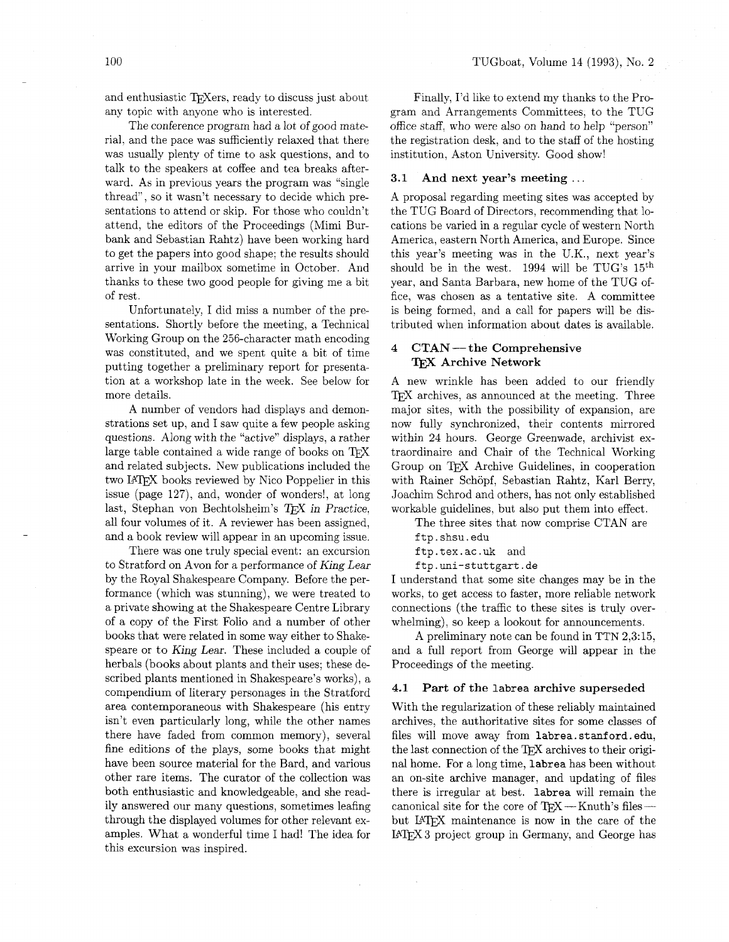and enthusiastic T<sub>F</sub>Xers, ready to discuss just about any topic with anyone who is interested.

The conference program had a lot of good material, and the pace was sufficiently relaxed that there was usually plenty of time to ask questions, and to talk to the speakers at coffee and tea breaks afterward. As in previous years the program was "single thread", so it wasn't necessary to decide which presentations to attend or skip. For those who couldn't attend, the editors of the Proceedings (Mimi Burbank and Sebastian Rahtz) have been working hard to get the papers into good shape; the results should arrive in your mailbox sometime in October. And thanks to these two good people for giving me a bit of rest.

Unfortunately, I did miss a number of the presentations. Shortly before the meeting, a Technical Working Group on the 256-character math encoding was constituted, and we spent quite a bit of time putting together a preliminary report for presentation at a workshop late in the week. See below for more details.

A number of vendors had displays and demonstrations set up, and I saw quite a few people asking questions. Along with the "active" displays, a rather large table contained a wide range of books on and related subjects. New publications included the two LAT<sub>F</sub>X books reviewed by Nico Poppelier in this issue (page 127), and, wonder of wonders!, at long last, Stephan von Bechtolsheim's TFX in Practice, all four volumes of it. A reviewer has been assigned, and a book review will appear in an upcoming issue.

There was one truly special event: an excursion to Stratford on Avon for a performance of **King** Lear by the Royal Shakespeare Company. Before the performance (which was stunning), we were treated to a private showing at the Shakespeare Centre Library of a copy of the First Folio and a number of other books that were related in some way either to Shakespeare or to King Lear. These included a couple of herbals (books about plants and their uses; these described plants mentioned in Shakespeare's works), a compendium of literary personages in the Stratford area contemporaneous with Shakespeare (his entry isn't even particularly long, while the other names there have faded from common memory), several fine editions of the plays, some books that might have been source material for the Bard, and various other rare items. The curator of the collection was both enthusiastic and knowledgeable, and she readily answered our many questions, sometimes leafing through the displayed volumes for other relevant examples. What a wonderful time I had! The idea for this excursion was inspired.

Finally, I'd like to extend my thanks to the Program and Arrangements Committees, to the TUG office staff, who were also on hand to help "person" the registration desk, and to the staff of the hosting institution, Aston University. Good show!

#### **3.1 And next year's meeting** . . .

A proposal regarding meeting sites was accepted by the TUG Board of Directors, recommending that locations be varied in a regular cycle of western North America, eastern North America, and Europe. Since this year's meeting was in the U.K., next year's should be in the west.  $1994$  will be TUG's  $15<sup>th</sup>$ year, and Santa Barbara, new home of the TUG office, was chosen as a tentative site. A committee is being formed, and a call for papers will be distributed when information about dates is available.

# **4 CTAN -the Comprehensive**  CTAN — the Compreh<br>T<u>F</u>X Archive Network

A new wrinkle has been added to our friendly TFX archives, as announced at the meeting. Three major sites, with the possibility of expansion, are now fully synchronized, their contents mirrored within 24 hours. George Greenwade, archivist extraordinaire and Chair of the Technical Working Group on TFX Archive Guidelines, in cooperation with Rainer Schöpf, Sebastian Rahtz, Karl Berry, Joachim Schrod and others, has not only established workable guidelines, but also put them into effect.

The three sites that now comprise CTAN are ftp.shsu.edu

ftp.tex.ac.uk and

ftp.uni-stuttgart.de

I understand that some site changes may be in the works, to get access to faster, more reliable network connections (the traffic to these sites is truly overwhelming), so keep a lookout for announcements.

A preliminary note can be found in TTN 2,3:15, and a full report from George will appear in the Proceedings of the meeting.

#### **4.1 Part of the** labrea **archive superseded**

With the regularization of these reliably maintained archives, the authoritative sites for some classes of files will move away from labrea.stanford.edu, the last connection of the T<sub>E</sub>X archives to their original home. For a long time, labrea has been without an on-site archive manager, and updating of files there is irregular at best. labrea will remain the canonical site for the core of TFX-Knuth's filesbut LAT<sub>F</sub>X maintenance is now in the care of the LAW3 project group in Germany, and George has